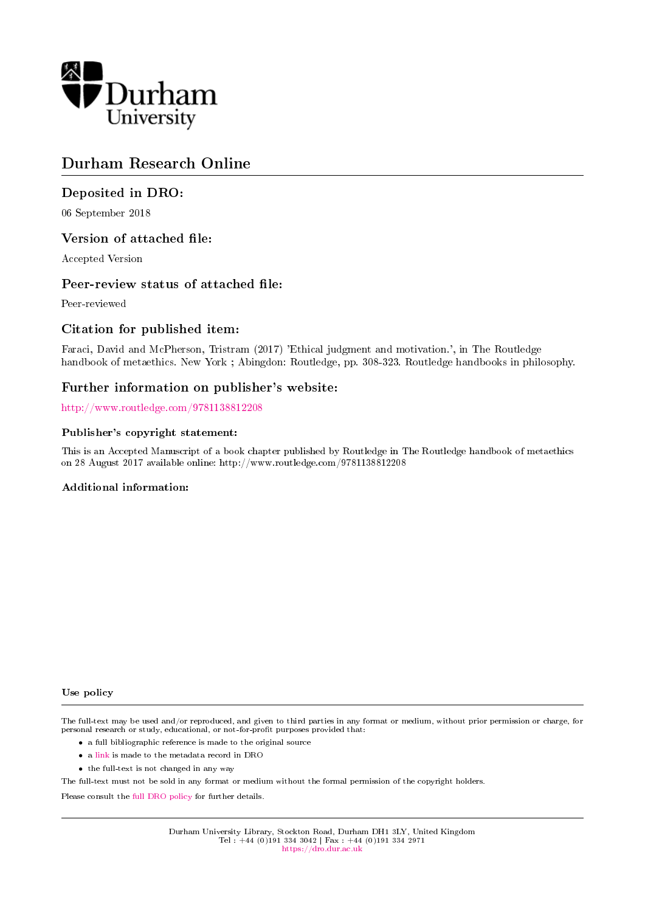

# Durham Research Online

# Deposited in DRO:

06 September 2018

## Version of attached file:

Accepted Version

## Peer-review status of attached file:

Peer-reviewed

# Citation for published item:

Faraci, David and McPherson, Tristram (2017) 'Ethical judgment and motivation.', in The Routledge handbook of metaethics. New York ; Abingdon: Routledge, pp. 308-323. Routledge handbooks in philosophy.

## Further information on publisher's website:

<http://www.routledge.com/9781138812208>

#### Publisher's copyright statement:

This is an Accepted Manuscript of a book chapter published by Routledge in The Routledge handbook of metaethics on 28 August 2017 available online: http://www.routledge.com/9781138812208

#### Additional information:

Use policy

The full-text may be used and/or reproduced, and given to third parties in any format or medium, without prior permission or charge, for personal research or study, educational, or not-for-profit purposes provided that:

- a full bibliographic reference is made to the original source
- a [link](http://dro.dur.ac.uk/26080/) is made to the metadata record in DRO
- the full-text is not changed in any way

The full-text must not be sold in any format or medium without the formal permission of the copyright holders.

Please consult the [full DRO policy](https://dro.dur.ac.uk/policies/usepolicy.pdf) for further details.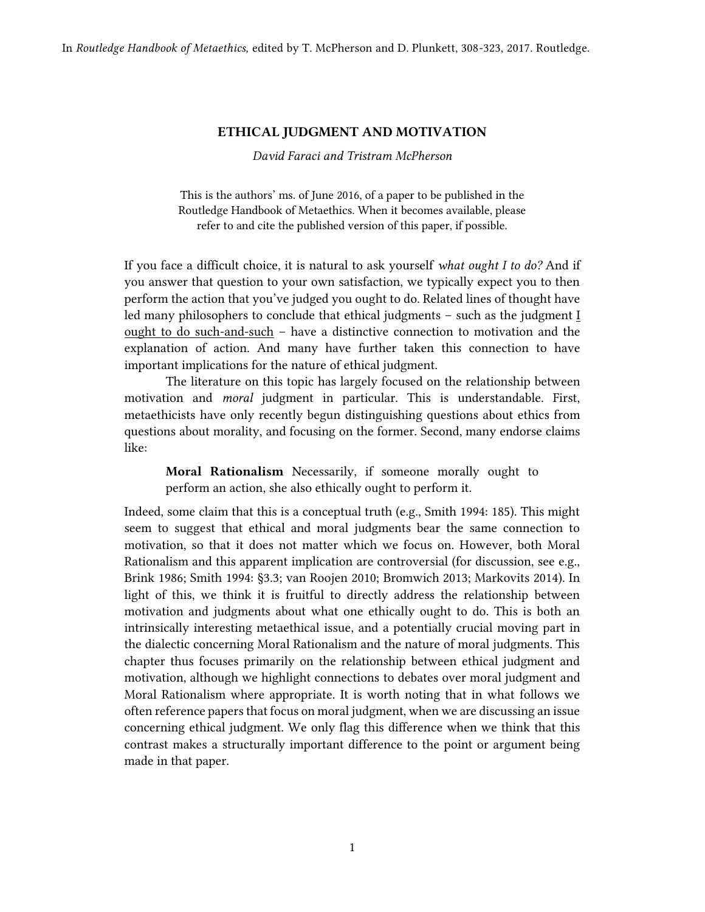### **ETHICAL JUDGMENT AND MOTIVATION**

*David Faraci and Tristram McPherson*

This is the authors' ms. of June 2016, of a paper to be published in the Routledge Handbook of Metaethics. When it becomes available, please refer to and cite the published version of this paper, if possible.

If you face a difficult choice, it is natural to ask yourself *what ought I to do?* And if you answer that question to your own satisfaction, we typically expect you to then perform the action that you've judged you ought to do. Related lines of thought have led many philosophers to conclude that ethical judgments – such as the judgment I ought to do such-and-such – have a distinctive connection to motivation and the explanation of action. And many have further taken this connection to have important implications for the nature of ethical judgment.

The literature on this topic has largely focused on the relationship between motivation and *moral* judgment in particular. This is understandable. First, metaethicists have only recently begun distinguishing questions about ethics from questions about morality, and focusing on the former. Second, many endorse claims like:

**Moral Rationalism** Necessarily, if someone morally ought to perform an action, she also ethically ought to perform it.

Indeed, some claim that this is a conceptual truth (e.g., Smith 1994: 185). This might seem to suggest that ethical and moral judgments bear the same connection to motivation, so that it does not matter which we focus on. However, both Moral Rationalism and this apparent implication are controversial (for discussion, see e.g., Brink 1986; Smith 1994: §3.3; van Roojen 2010; Bromwich 2013; Markovits 2014). In light of this, we think it is fruitful to directly address the relationship between motivation and judgments about what one ethically ought to do. This is both an intrinsically interesting metaethical issue, and a potentially crucial moving part in the dialectic concerning Moral Rationalism and the nature of moral judgments. This chapter thus focuses primarily on the relationship between ethical judgment and motivation, although we highlight connections to debates over moral judgment and Moral Rationalism where appropriate. It is worth noting that in what follows we often reference papers that focus on moral judgment, when we are discussing an issue concerning ethical judgment. We only flag this difference when we think that this contrast makes a structurally important difference to the point or argument being made in that paper.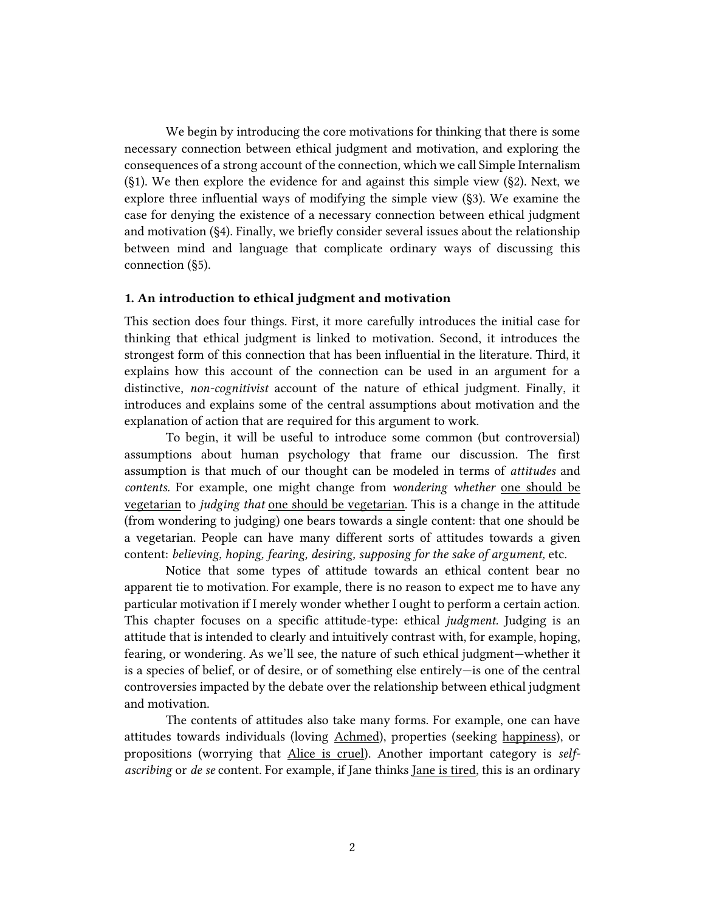We begin by introducing the core motivations for thinking that there is some necessary connection between ethical judgment and motivation, and exploring the consequences of a strong account of the connection, which we call Simple Internalism (§1). We then explore the evidence for and against this simple view (§2). Next, we explore three influential ways of modifying the simple view (§3). We examine the case for denying the existence of a necessary connection between ethical judgment and motivation (§4). Finally, we briefly consider several issues about the relationship between mind and language that complicate ordinary ways of discussing this connection (§5).

### **1. An introduction to ethical judgment and motivation**

This section does four things. First, it more carefully introduces the initial case for thinking that ethical judgment is linked to motivation. Second, it introduces the strongest form of this connection that has been influential in the literature. Third, it explains how this account of the connection can be used in an argument for a distinctive, *non-cognitivist* account of the nature of ethical judgment. Finally, it introduces and explains some of the central assumptions about motivation and the explanation of action that are required for this argument to work.

To begin, it will be useful to introduce some common (but controversial) assumptions about human psychology that frame our discussion. The first assumption is that much of our thought can be modeled in terms of *attitudes* and *contents.* For example, one might change from *wondering whether* one should be vegetarian to *judging that* one should be vegetarian. This is a change in the attitude (from wondering to judging) one bears towards a single content: that one should be a vegetarian. People can have many different sorts of attitudes towards a given content: *believing, hoping, fearing, desiring, supposing for the sake of argument, etc.* 

Notice that some types of attitude towards an ethical content bear no apparent tie to motivation. For example, there is no reason to expect me to have any particular motivation if I merely wonder whether I ought to perform a certain action. This chapter focuses on a specific attitude-type: ethical *judgment.* Judging is an attitude that is intended to clearly and intuitively contrast with, for example, hoping, fearing, or wondering. As we'll see, the nature of such ethical judgment—whether it is a species of belief, or of desire, or of something else entirely—is one of the central controversies impacted by the debate over the relationship between ethical judgment and motivation.

The contents of attitudes also take many forms. For example, one can have attitudes towards individuals (loving Achmed), properties (seeking happiness), or propositions (worrying that Alice is cruel). Another important category is *selfascribing* or *de se* content. For example, if Jane thinks Jane is tired, this is an ordinary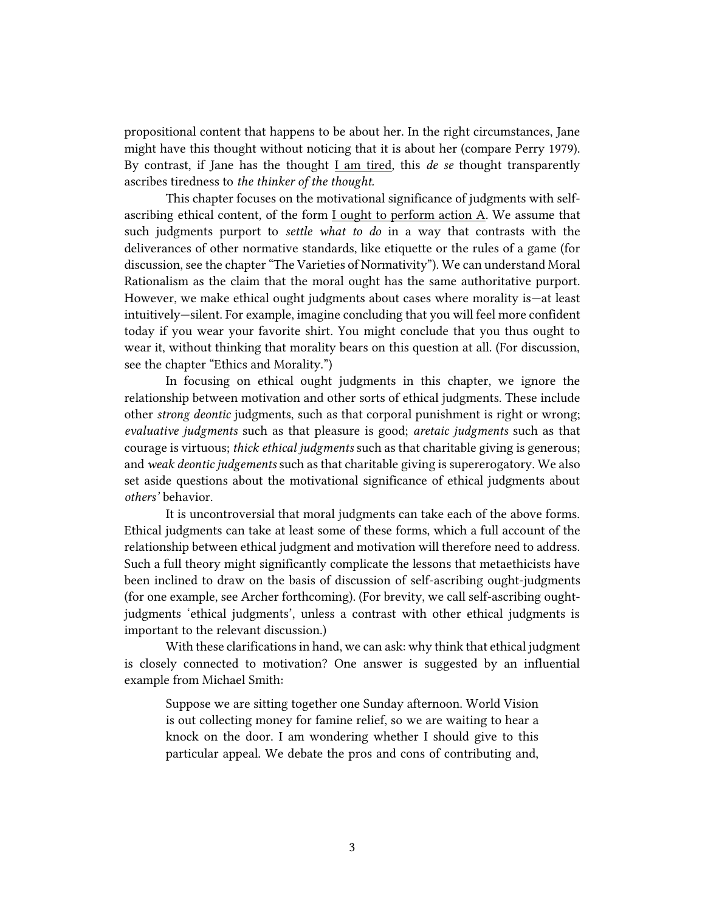propositional content that happens to be about her. In the right circumstances, Jane might have this thought without noticing that it is about her (compare Perry 1979). By contrast, if Jane has the thought I am tired, this *de se* thought transparently ascribes tiredness to *the thinker of the thought.*

This chapter focuses on the motivational significance of judgments with selfascribing ethical content, of the form I ought to perform action A. We assume that such judgments purport to *settle what to do* in a way that contrasts with the deliverances of other normative standards, like etiquette or the rules of a game (for discussion, see the chapter "The Varieties of Normativity"). We can understand Moral Rationalism as the claim that the moral ought has the same authoritative purport. However, we make ethical ought judgments about cases where morality is—at least intuitively—silent. For example, imagine concluding that you will feel more confident today if you wear your favorite shirt. You might conclude that you thus ought to wear it, without thinking that morality bears on this question at all. (For discussion, see the chapter "Ethics and Morality.")

In focusing on ethical ought judgments in this chapter, we ignore the relationship between motivation and other sorts of ethical judgments. These include other *strong deontic* judgments, such as that corporal punishment is right or wrong; *evaluative judgments* such as that pleasure is good; *aretaic judgments* such as that courage is virtuous; *thick ethical judgments* such as that charitable giving is generous; and *weak deontic judgements* such as that charitable giving is supererogatory. We also set aside questions about the motivational significance of ethical judgments about *others'* behavior.

It is uncontroversial that moral judgments can take each of the above forms. Ethical judgments can take at least some of these forms, which a full account of the relationship between ethical judgment and motivation will therefore need to address. Such a full theory might significantly complicate the lessons that metaethicists have been inclined to draw on the basis of discussion of self-ascribing ought-judgments (for one example, see Archer forthcoming). (For brevity, we call self-ascribing oughtjudgments 'ethical judgments', unless a contrast with other ethical judgments is important to the relevant discussion.)

With these clarifications in hand, we can ask: why think that ethical judgment is closely connected to motivation? One answer is suggested by an influential example from Michael Smith:

Suppose we are sitting together one Sunday afternoon. World Vision is out collecting money for famine relief, so we are waiting to hear a knock on the door. I am wondering whether I should give to this particular appeal. We debate the pros and cons of contributing and,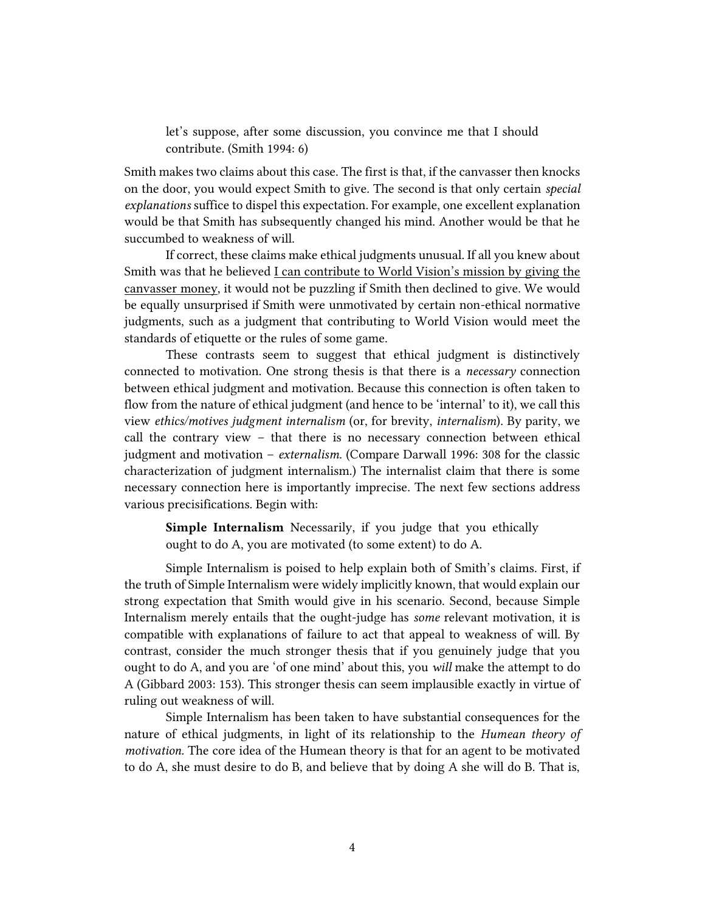let's suppose, after some discussion, you convince me that I should contribute. (Smith 1994: 6)

Smith makes two claims about this case. The first is that, if the canvasser then knocks on the door, you would expect Smith to give. The second is that only certain *special explanations* suffice to dispel this expectation. For example, one excellent explanation would be that Smith has subsequently changed his mind. Another would be that he succumbed to weakness of will.

If correct, these claims make ethical judgments unusual. If all you knew about Smith was that he believed I can contribute to World Vision's mission by giving the canvasser money, it would not be puzzling if Smith then declined to give. We would be equally unsurprised if Smith were unmotivated by certain non-ethical normative judgments, such as a judgment that contributing to World Vision would meet the standards of etiquette or the rules of some game.

These contrasts seem to suggest that ethical judgment is distinctively connected to motivation. One strong thesis is that there is a *necessary* connection between ethical judgment and motivation. Because this connection is often taken to flow from the nature of ethical judgment (and hence to be 'internal' to it), we call this view *ethics/motives judgment internalism* (or, for brevity, *internalism*). By parity, we call the contrary view – that there is no necessary connection between ethical judgment and motivation – *externalism.* (Compare Darwall 1996: 308 for the classic characterization of judgment internalism.) The internalist claim that there is some necessary connection here is importantly imprecise. The next few sections address various precisifications. Begin with:

**Simple Internalism** Necessarily, if you judge that you ethically ought to do A, you are motivated (to some extent) to do A.

Simple Internalism is poised to help explain both of Smith's claims. First, if the truth of Simple Internalism were widely implicitly known, that would explain our strong expectation that Smith would give in his scenario. Second, because Simple Internalism merely entails that the ought-judge has *some* relevant motivation, it is compatible with explanations of failure to act that appeal to weakness of will. By contrast, consider the much stronger thesis that if you genuinely judge that you ought to do A, and you are 'of one mind' about this, you *will* make the attempt to do A (Gibbard 2003: 153). This stronger thesis can seem implausible exactly in virtue of ruling out weakness of will.

Simple Internalism has been taken to have substantial consequences for the nature of ethical judgments, in light of its relationship to the *Humean theory of motivation.* The core idea of the Humean theory is that for an agent to be motivated to do A, she must desire to do B, and believe that by doing A she will do B. That is,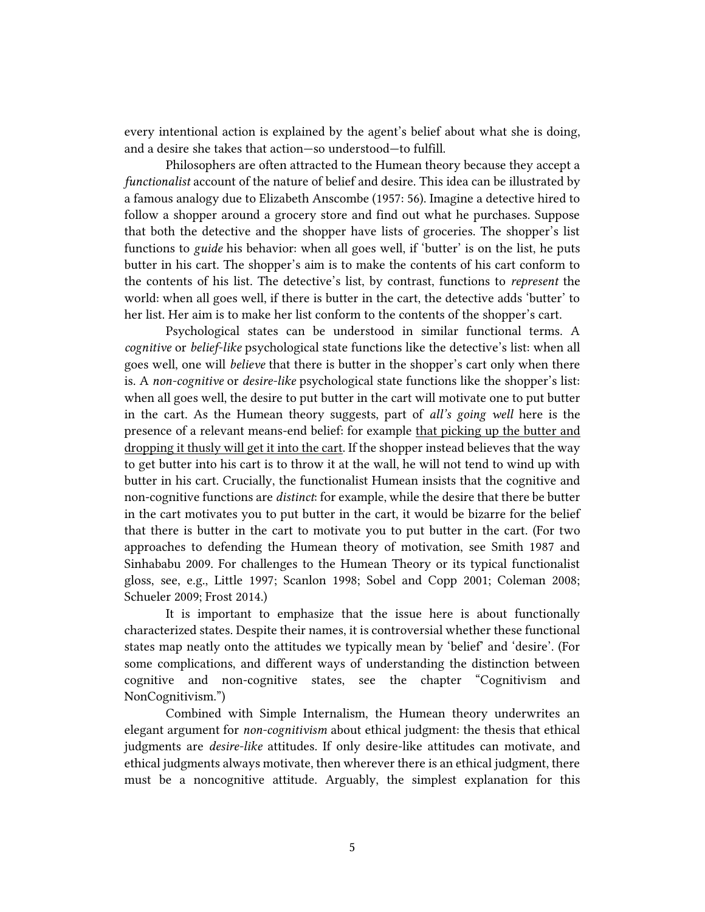every intentional action is explained by the agent's belief about what she is doing, and a desire she takes that action—so understood—to fulfill.

Philosophers are often attracted to the Humean theory because they accept a *functionalist* account of the nature of belief and desire. This idea can be illustrated by a famous analogy due to Elizabeth Anscombe (1957: 56). Imagine a detective hired to follow a shopper around a grocery store and find out what he purchases. Suppose that both the detective and the shopper have lists of groceries. The shopper's list functions to *guide* his behavior: when all goes well, if 'butter' is on the list, he puts butter in his cart. The shopper's aim is to make the contents of his cart conform to the contents of his list. The detective's list, by contrast, functions to *represent* the world: when all goes well, if there is butter in the cart, the detective adds 'butter' to her list. Her aim is to make her list conform to the contents of the shopper's cart.

Psychological states can be understood in similar functional terms. A *cognitive* or *belief-like* psychological state functions like the detective's list: when all goes well, one will *believe* that there is butter in the shopper's cart only when there is. A *non-cognitive* or *desire-like* psychological state functions like the shopper's list: when all goes well, the desire to put butter in the cart will motivate one to put butter in the cart. As the Humean theory suggests, part of *all's going well* here is the presence of a relevant means-end belief: for example that picking up the butter and dropping it thusly will get it into the cart. If the shopper instead believes that the way to get butter into his cart is to throw it at the wall, he will not tend to wind up with butter in his cart. Crucially, the functionalist Humean insists that the cognitive and non-cognitive functions are *distinct*: for example, while the desire that there be butter in the cart motivates you to put butter in the cart, it would be bizarre for the belief that there is butter in the cart to motivate you to put butter in the cart. (For two approaches to defending the Humean theory of motivation, see Smith 1987 and Sinhababu 2009. For challenges to the Humean Theory or its typical functionalist gloss, see, e.g., Little 1997; Scanlon 1998; Sobel and Copp 2001; Coleman 2008; Schueler 2009; Frost 2014.)

It is important to emphasize that the issue here is about functionally characterized states. Despite their names, it is controversial whether these functional states map neatly onto the attitudes we typically mean by 'belief' and 'desire'. (For some complications, and different ways of understanding the distinction between cognitive and non-cognitive states, see the chapter "Cognitivism and NonCognitivism.")

Combined with Simple Internalism, the Humean theory underwrites an elegant argument for *non-cognitivism* about ethical judgment: the thesis that ethical judgments are *desire-like* attitudes. If only desire-like attitudes can motivate, and ethical judgments always motivate, then wherever there is an ethical judgment, there must be a noncognitive attitude. Arguably, the simplest explanation for this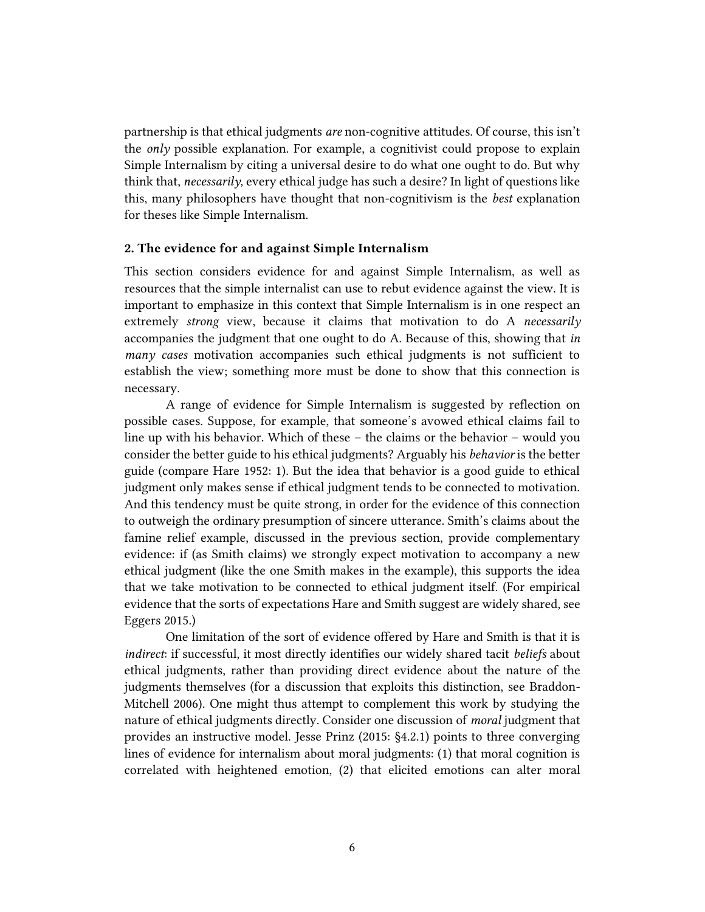partnership is that ethical judgments *are* non-cognitive attitudes. Of course, this isn't the *only* possible explanation. For example, a cognitivist could propose to explain Simple Internalism by citing a universal desire to do what one ought to do. But why think that, *necessarily,* every ethical judge has such a desire? In light of questions like this, many philosophers have thought that non-cognitivism is the *best* explanation for theses like Simple Internalism.

#### **2. The evidence for and against Simple Internalism**

This section considers evidence for and against Simple Internalism, as well as resources that the simple internalist can use to rebut evidence against the view. It is important to emphasize in this context that Simple Internalism is in one respect an extremely *strong* view, because it claims that motivation to do A *necessarily* accompanies the judgment that one ought to do A. Because of this, showing that *in many cases* motivation accompanies such ethical judgments is not sufficient to establish the view; something more must be done to show that this connection is necessary.

A range of evidence for Simple Internalism is suggested by reflection on possible cases. Suppose, for example, that someone's avowed ethical claims fail to line up with his behavior. Which of these – the claims or the behavior – would you consider the better guide to his ethical judgments? Arguably his *behavior* is the better guide (compare Hare 1952: 1). But the idea that behavior is a good guide to ethical judgment only makes sense if ethical judgment tends to be connected to motivation. And this tendency must be quite strong, in order for the evidence of this connection to outweigh the ordinary presumption of sincere utterance. Smith's claims about the famine relief example, discussed in the previous section, provide complementary evidence: if (as Smith claims) we strongly expect motivation to accompany a new ethical judgment (like the one Smith makes in the example), this supports the idea that we take motivation to be connected to ethical judgment itself. (For empirical evidence that the sorts of expectations Hare and Smith suggest are widely shared, see Eggers 2015.)

One limitation of the sort of evidence offered by Hare and Smith is that it is *indirect*: if successful, it most directly identifies our widely shared tacit *beliefs* about ethical judgments, rather than providing direct evidence about the nature of the judgments themselves (for a discussion that exploits this distinction, see Braddon-Mitchell 2006). One might thus attempt to complement this work by studying the nature of ethical judgments directly. Consider one discussion of *moral* judgment that provides an instructive model. Jesse Prinz (2015: §4.2.1) points to three converging lines of evidence for internalism about moral judgments: (1) that moral cognition is correlated with heightened emotion, (2) that elicited emotions can alter moral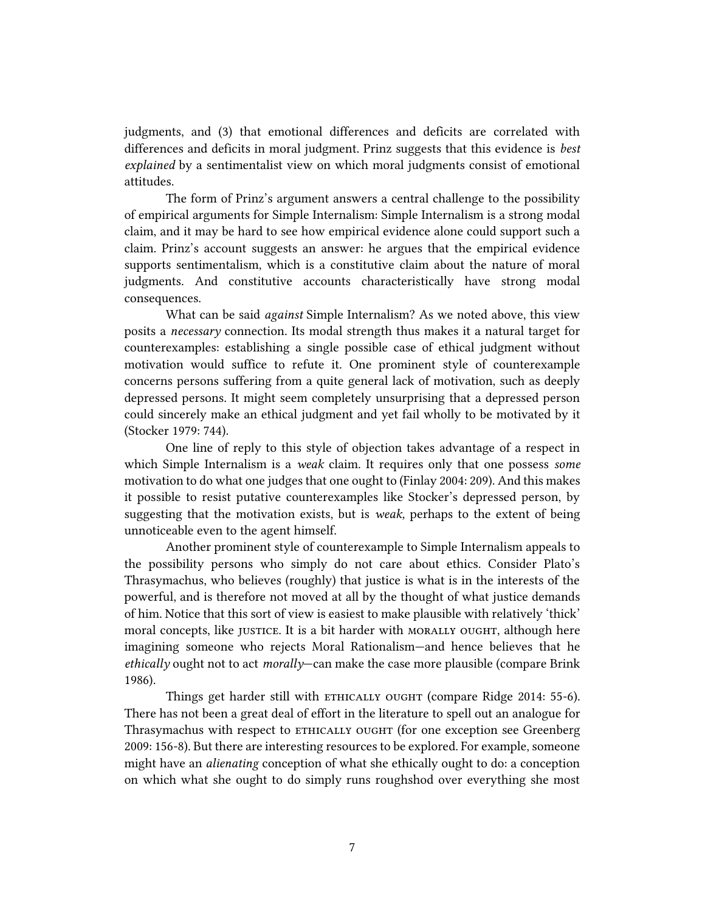judgments, and (3) that emotional differences and deficits are correlated with differences and deficits in moral judgment. Prinz suggests that this evidence is *best explained* by a sentimentalist view on which moral judgments consist of emotional attitudes.

The form of Prinz's argument answers a central challenge to the possibility of empirical arguments for Simple Internalism: Simple Internalism is a strong modal claim, and it may be hard to see how empirical evidence alone could support such a claim. Prinz's account suggests an answer: he argues that the empirical evidence supports sentimentalism, which is a constitutive claim about the nature of moral judgments. And constitutive accounts characteristically have strong modal consequences.

What can be said *against* Simple Internalism? As we noted above, this view posits a *necessary* connection. Its modal strength thus makes it a natural target for counterexamples: establishing a single possible case of ethical judgment without motivation would suffice to refute it. One prominent style of counterexample concerns persons suffering from a quite general lack of motivation, such as deeply depressed persons. It might seem completely unsurprising that a depressed person could sincerely make an ethical judgment and yet fail wholly to be motivated by it (Stocker 1979: 744).

One line of reply to this style of objection takes advantage of a respect in which Simple Internalism is a *weak* claim. It requires only that one possess *some* motivation to do what one judges that one ought to (Finlay 2004: 209). And this makes it possible to resist putative counterexamples like Stocker's depressed person, by suggesting that the motivation exists, but is *weak,* perhaps to the extent of being unnoticeable even to the agent himself.

Another prominent style of counterexample to Simple Internalism appeals to the possibility persons who simply do not care about ethics. Consider Plato's Thrasymachus, who believes (roughly) that justice is what is in the interests of the powerful, and is therefore not moved at all by the thought of what justice demands of him. Notice that this sort of view is easiest to make plausible with relatively 'thick' moral concepts, like *justice*. It is a bit harder with *morally ought*, although here imagining someone who rejects Moral Rationalism—and hence believes that he *ethically* ought not to act *morally*—can make the case more plausible (compare Brink 1986).

Things get harder still with *ETHICALLY OUGHT* (compare Ridge 2014: 55-6). There has not been a great deal of effort in the literature to spell out an analogue for Thrasymachus with respect to *ethically ought* (for one exception see Greenberg 2009: 156-8). But there are interesting resources to be explored. For example, someone might have an *alienating* conception of what she ethically ought to do: a conception on which what she ought to do simply runs roughshod over everything she most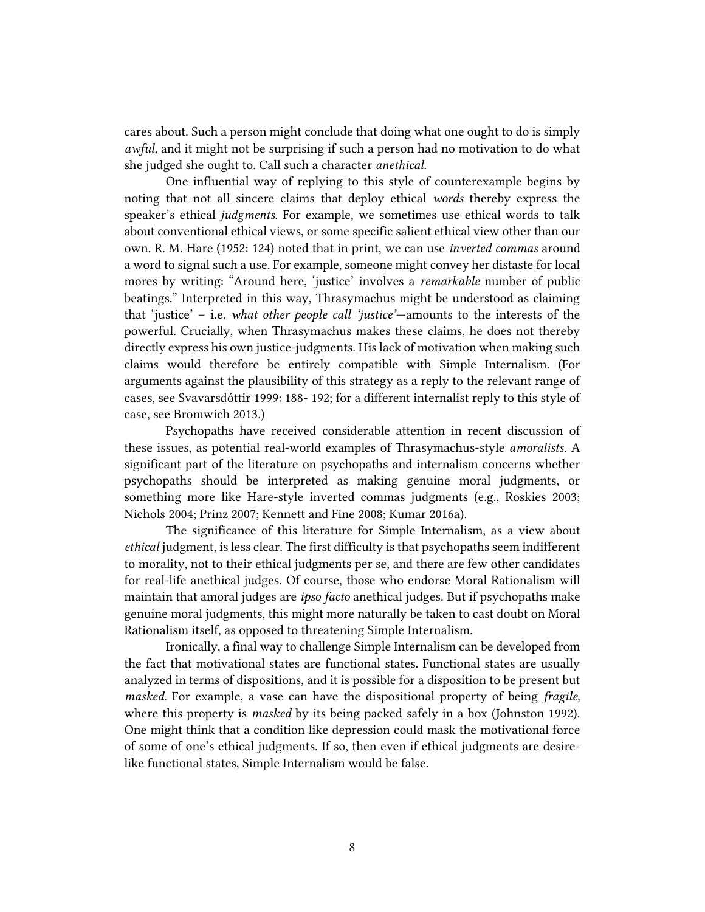cares about. Such a person might conclude that doing what one ought to do is simply *awful,* and it might not be surprising if such a person had no motivation to do what she judged she ought to. Call such a character *anethical.*

One influential way of replying to this style of counterexample begins by noting that not all sincere claims that deploy ethical *words* thereby express the speaker's ethical *judgments.* For example, we sometimes use ethical words to talk about conventional ethical views, or some specific salient ethical view other than our own. R. M. Hare (1952: 124) noted that in print, we can use *inverted commas* around a word to signal such a use. For example, someone might convey her distaste for local mores by writing: "Around here, 'justice' involves a *remarkable* number of public beatings." Interpreted in this way, Thrasymachus might be understood as claiming that 'justice' – i.e. *what other people call 'justice'*—amounts to the interests of the powerful. Crucially, when Thrasymachus makes these claims, he does not thereby directly express his own justice-judgments. His lack of motivation when making such claims would therefore be entirely compatible with Simple Internalism. (For arguments against the plausibility of this strategy as a reply to the relevant range of cases, see Svavarsdóttir 1999: 188- 192; for a different internalist reply to this style of case, see Bromwich 2013.)

Psychopaths have received considerable attention in recent discussion of these issues, as potential real-world examples of Thrasymachus-style *amoralists.* A significant part of the literature on psychopaths and internalism concerns whether psychopaths should be interpreted as making genuine moral judgments, or something more like Hare-style inverted commas judgments (e.g., Roskies 2003; Nichols 2004; Prinz 2007; Kennett and Fine 2008; Kumar 2016a).

The significance of this literature for Simple Internalism, as a view about *ethical* judgment, is less clear. The first difficulty is that psychopaths seem indifferent to morality, not to their ethical judgments per se, and there are few other candidates for real-life anethical judges. Of course, those who endorse Moral Rationalism will maintain that amoral judges are *ipso facto* anethical judges. But if psychopaths make genuine moral judgments, this might more naturally be taken to cast doubt on Moral Rationalism itself, as opposed to threatening Simple Internalism.

Ironically, a final way to challenge Simple Internalism can be developed from the fact that motivational states are functional states. Functional states are usually analyzed in terms of dispositions, and it is possible for a disposition to be present but *masked.* For example, a vase can have the dispositional property of being *fragile,* where this property is *masked* by its being packed safely in a box (Johnston 1992). One might think that a condition like depression could mask the motivational force of some of one's ethical judgments. If so, then even if ethical judgments are desirelike functional states, Simple Internalism would be false.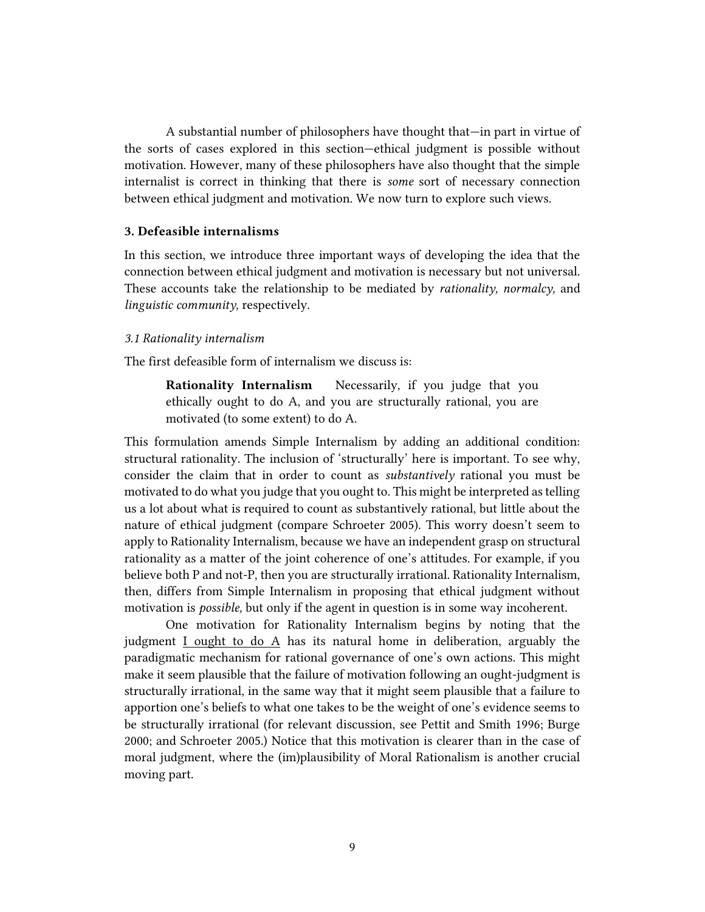A substantial number of philosophers have thought that—in part in virtue of the sorts of cases explored in this section—ethical judgment is possible without motivation. However, many of these philosophers have also thought that the simple internalist is correct in thinking that there is *some* sort of necessary connection between ethical judgment and motivation. We now turn to explore such views.

#### **3. Defeasible internalisms**

In this section, we introduce three important ways of developing the idea that the connection between ethical judgment and motivation is necessary but not universal. These accounts take the relationship to be mediated by *rationality, normalcy,* and *linguistic community,* respectively.

#### *3.1 Rationality internalism*

The first defeasible form of internalism we discuss is:

**Rationality Internalism** Necessarily, if you judge that you ethically ought to do A, and you are structurally rational, you are motivated (to some extent) to do A.

This formulation amends Simple Internalism by adding an additional condition: structural rationality. The inclusion of 'structurally' here is important. To see why, consider the claim that in order to count as *substantively* rational you must be motivated to do what you judge that you ought to. This might be interpreted as telling us a lot about what is required to count as substantively rational, but little about the nature of ethical judgment (compare Schroeter 2005). This worry doesn't seem to apply to Rationality Internalism, because we have an independent grasp on structural rationality as a matter of the joint coherence of one's attitudes. For example, if you believe both P and not-P, then you are structurally irrational. Rationality Internalism, then, differs from Simple Internalism in proposing that ethical judgment without motivation is *possible,* but only if the agent in question is in some way incoherent.

One motivation for Rationality Internalism begins by noting that the judgment I ought to do A has its natural home in deliberation, arguably the paradigmatic mechanism for rational governance of one's own actions. This might make it seem plausible that the failure of motivation following an ought-judgment is structurally irrational, in the same way that it might seem plausible that a failure to apportion one's beliefs to what one takes to be the weight of one's evidence seems to be structurally irrational (for relevant discussion, see Pettit and Smith 1996; Burge 2000; and Schroeter 2005.) Notice that this motivation is clearer than in the case of moral judgment, where the (im)plausibility of Moral Rationalism is another crucial moving part.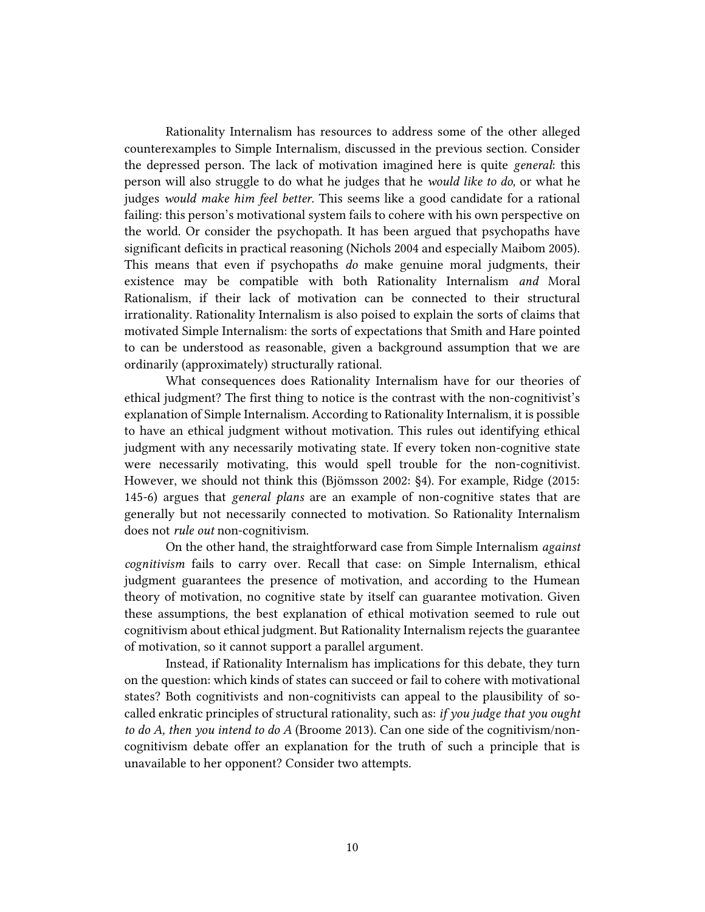Rationality Internalism has resources to address some of the other alleged counterexamples to Simple Internalism, discussed in the previous section. Consider the depressed person. The lack of motivation imagined here is quite *general*: this person will also struggle to do what he judges that he *would like to do,* or what he judges *would make him feel better.* This seems like a good candidate for a rational failing: this person's motivational system fails to cohere with his own perspective on the world. Or consider the psychopath. It has been argued that psychopaths have significant deficits in practical reasoning (Nichols 2004 and especially Maibom 2005). This means that even if psychopaths *do* make genuine moral judgments, their existence may be compatible with both Rationality Internalism *and* Moral Rationalism, if their lack of motivation can be connected to their structural irrationality. Rationality Internalism is also poised to explain the sorts of claims that motivated Simple Internalism: the sorts of expectations that Smith and Hare pointed to can be understood as reasonable, given a background assumption that we are ordinarily (approximately) structurally rational.

What consequences does Rationality Internalism have for our theories of ethical judgment? The first thing to notice is the contrast with the non-cognitivist's explanation of Simple Internalism. According to Rationality Internalism, it is possible to have an ethical judgment without motivation. This rules out identifying ethical judgment with any necessarily motivating state. If every token non-cognitive state were necessarily motivating, this would spell trouble for the non-cognitivist. However, we should not think this (Bjömsson 2002: §4). For example, Ridge (2015: 145-6) argues that *general plans* are an example of non-cognitive states that are generally but not necessarily connected to motivation. So Rationality Internalism does not *rule out* non-cognitivism.

On the other hand, the straightforward case from Simple Internalism *against cognitivism* fails to carry over. Recall that case: on Simple Internalism, ethical judgment guarantees the presence of motivation, and according to the Humean theory of motivation, no cognitive state by itself can guarantee motivation. Given these assumptions, the best explanation of ethical motivation seemed to rule out cognitivism about ethical judgment. But Rationality Internalism rejects the guarantee of motivation, so it cannot support a parallel argument.

Instead, if Rationality Internalism has implications for this debate, they turn on the question: which kinds of states can succeed or fail to cohere with motivational states? Both cognitivists and non-cognitivists can appeal to the plausibility of socalled enkratic principles of structural rationality, such as: *if you judge that you ought to do A, then you intend to do A* (Broome 2013). Can one side of the cognitivism/noncognitivism debate offer an explanation for the truth of such a principle that is unavailable to her opponent? Consider two attempts.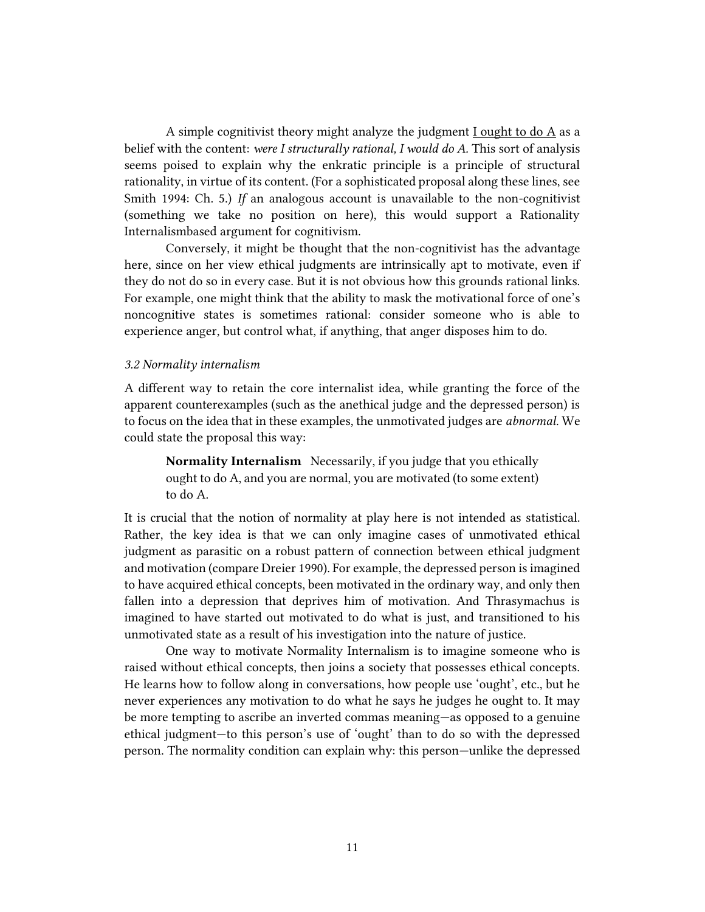A simple cognitivist theory might analyze the judgment  $I$  ought to do  $A$  as a belief with the content: *were I structurally rational, I would do A.* This sort of analysis seems poised to explain why the enkratic principle is a principle of structural rationality, in virtue of its content. (For a sophisticated proposal along these lines, see Smith 1994: Ch. 5.) *If* an analogous account is unavailable to the non-cognitivist (something we take no position on here), this would support a Rationality Internalismbased argument for cognitivism.

Conversely, it might be thought that the non-cognitivist has the advantage here, since on her view ethical judgments are intrinsically apt to motivate, even if they do not do so in every case. But it is not obvious how this grounds rational links. For example, one might think that the ability to mask the motivational force of one's noncognitive states is sometimes rational: consider someone who is able to experience anger, but control what, if anything, that anger disposes him to do.

#### *3.2 Normality internalism*

A different way to retain the core internalist idea, while granting the force of the apparent counterexamples (such as the anethical judge and the depressed person) is to focus on the idea that in these examples, the unmotivated judges are *abnormal.* We could state the proposal this way:

**Normality Internalism** Necessarily, if you judge that you ethically ought to do A, and you are normal, you are motivated (to some extent) to do A.

It is crucial that the notion of normality at play here is not intended as statistical. Rather, the key idea is that we can only imagine cases of unmotivated ethical judgment as parasitic on a robust pattern of connection between ethical judgment and motivation (compare Dreier 1990). For example, the depressed person is imagined to have acquired ethical concepts, been motivated in the ordinary way, and only then fallen into a depression that deprives him of motivation. And Thrasymachus is imagined to have started out motivated to do what is just, and transitioned to his unmotivated state as a result of his investigation into the nature of justice.

One way to motivate Normality Internalism is to imagine someone who is raised without ethical concepts, then joins a society that possesses ethical concepts. He learns how to follow along in conversations, how people use 'ought', etc., but he never experiences any motivation to do what he says he judges he ought to. It may be more tempting to ascribe an inverted commas meaning—as opposed to a genuine ethical judgment—to this person's use of 'ought' than to do so with the depressed person. The normality condition can explain why: this person—unlike the depressed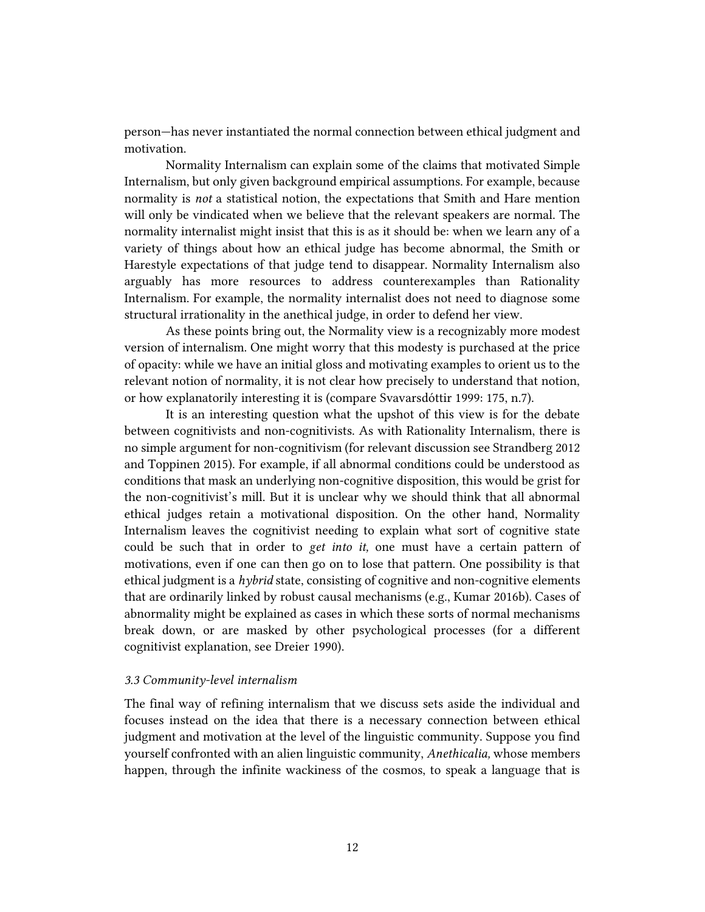person—has never instantiated the normal connection between ethical judgment and motivation.

Normality Internalism can explain some of the claims that motivated Simple Internalism, but only given background empirical assumptions. For example, because normality is *not* a statistical notion, the expectations that Smith and Hare mention will only be vindicated when we believe that the relevant speakers are normal. The normality internalist might insist that this is as it should be: when we learn any of a variety of things about how an ethical judge has become abnormal, the Smith or Harestyle expectations of that judge tend to disappear. Normality Internalism also arguably has more resources to address counterexamples than Rationality Internalism. For example, the normality internalist does not need to diagnose some structural irrationality in the anethical judge, in order to defend her view.

As these points bring out, the Normality view is a recognizably more modest version of internalism. One might worry that this modesty is purchased at the price of opacity: while we have an initial gloss and motivating examples to orient us to the relevant notion of normality, it is not clear how precisely to understand that notion, or how explanatorily interesting it is (compare Svavarsdóttir 1999: 175, n.7).

It is an interesting question what the upshot of this view is for the debate between cognitivists and non-cognitivists. As with Rationality Internalism, there is no simple argument for non-cognitivism (for relevant discussion see Strandberg 2012 and Toppinen 2015). For example, if all abnormal conditions could be understood as conditions that mask an underlying non-cognitive disposition, this would be grist for the non-cognitivist's mill. But it is unclear why we should think that all abnormal ethical judges retain a motivational disposition. On the other hand, Normality Internalism leaves the cognitivist needing to explain what sort of cognitive state could be such that in order to *get into it,* one must have a certain pattern of motivations, even if one can then go on to lose that pattern. One possibility is that ethical judgment is a *hybrid* state, consisting of cognitive and non-cognitive elements that are ordinarily linked by robust causal mechanisms (e.g., Kumar 2016b). Cases of abnormality might be explained as cases in which these sorts of normal mechanisms break down, or are masked by other psychological processes (for a different cognitivist explanation, see Dreier 1990).

#### *3.3 Community-level internalism*

The final way of refining internalism that we discuss sets aside the individual and focuses instead on the idea that there is a necessary connection between ethical judgment and motivation at the level of the linguistic community. Suppose you find yourself confronted with an alien linguistic community, *Anethicalia,* whose members happen, through the infinite wackiness of the cosmos, to speak a language that is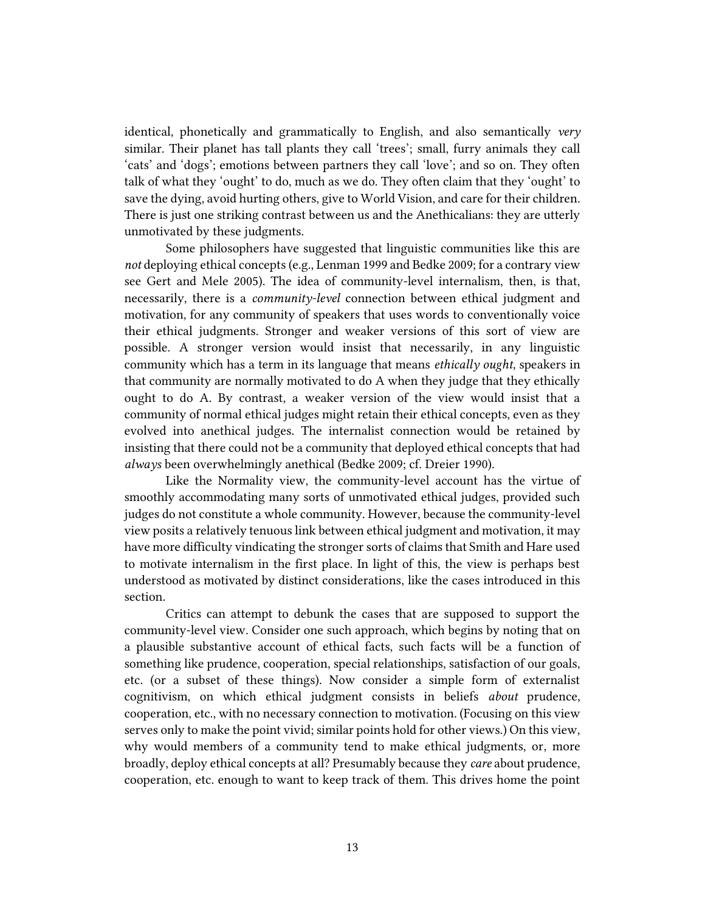identical, phonetically and grammatically to English, and also semantically *very* similar. Their planet has tall plants they call 'trees'; small, furry animals they call 'cats' and 'dogs'; emotions between partners they call 'love'; and so on. They often talk of what they 'ought' to do, much as we do. They often claim that they 'ought' to save the dying, avoid hurting others, give to World Vision, and care for their children. There is just one striking contrast between us and the Anethicalians: they are utterly unmotivated by these judgments.

Some philosophers have suggested that linguistic communities like this are *not* deploying ethical concepts (e.g., Lenman 1999 and Bedke 2009; for a contrary view see Gert and Mele 2005). The idea of community-level internalism, then, is that, necessarily, there is a *community-level* connection between ethical judgment and motivation, for any community of speakers that uses words to conventionally voice their ethical judgments. Stronger and weaker versions of this sort of view are possible. A stronger version would insist that necessarily, in any linguistic community which has a term in its language that means *ethically ought,* speakers in that community are normally motivated to do A when they judge that they ethically ought to do A. By contrast, a weaker version of the view would insist that a community of normal ethical judges might retain their ethical concepts, even as they evolved into anethical judges. The internalist connection would be retained by insisting that there could not be a community that deployed ethical concepts that had *always* been overwhelmingly anethical (Bedke 2009; cf. Dreier 1990).

Like the Normality view, the community-level account has the virtue of smoothly accommodating many sorts of unmotivated ethical judges, provided such judges do not constitute a whole community. However, because the community-level view posits a relatively tenuous link between ethical judgment and motivation, it may have more difficulty vindicating the stronger sorts of claims that Smith and Hare used to motivate internalism in the first place. In light of this, the view is perhaps best understood as motivated by distinct considerations, like the cases introduced in this section.

Critics can attempt to debunk the cases that are supposed to support the community-level view. Consider one such approach, which begins by noting that on a plausible substantive account of ethical facts, such facts will be a function of something like prudence, cooperation, special relationships, satisfaction of our goals, etc. (or a subset of these things). Now consider a simple form of externalist cognitivism, on which ethical judgment consists in beliefs *about* prudence, cooperation, etc., with no necessary connection to motivation. (Focusing on this view serves only to make the point vivid; similar points hold for other views.) On this view, why would members of a community tend to make ethical judgments, or, more broadly, deploy ethical concepts at all? Presumably because they *care* about prudence, cooperation, etc. enough to want to keep track of them. This drives home the point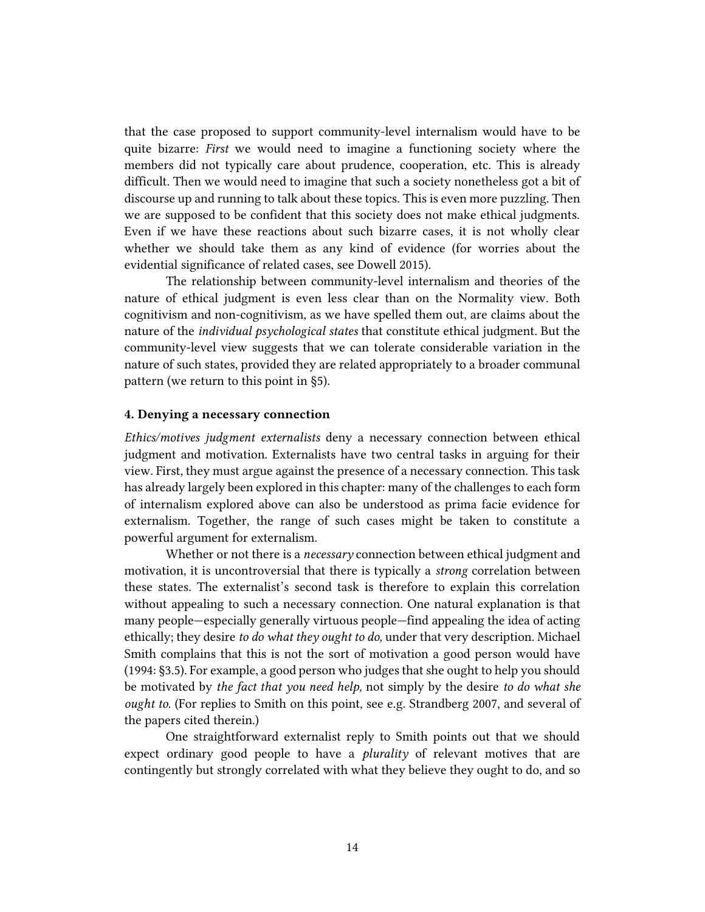that the case proposed to support community-level internalism would have to be quite bizarre: *First* we would need to imagine a functioning society where the members did not typically care about prudence, cooperation, etc. This is already difficult. Then we would need to imagine that such a society nonetheless got a bit of discourse up and running to talk about these topics. This is even more puzzling. Then we are supposed to be confident that this society does not make ethical judgments. Even if we have these reactions about such bizarre cases, it is not wholly clear whether we should take them as any kind of evidence (for worries about the evidential significance of related cases, see Dowell 2015).

The relationship between community-level internalism and theories of the nature of ethical judgment is even less clear than on the Normality view. Both cognitivism and non-cognitivism, as we have spelled them out, are claims about the nature of the *individual psychological states* that constitute ethical judgment. But the community-level view suggests that we can tolerate considerable variation in the nature of such states, provided they are related appropriately to a broader communal pattern (we return to this point in §5).

#### **4. Denying a necessary connection**

*Ethics/motives judgment externalists* deny a necessary connection between ethical judgment and motivation. Externalists have two central tasks in arguing for their view. First, they must argue against the presence of a necessary connection. This task has already largely been explored in this chapter: many of the challenges to each form of internalism explored above can also be understood as prima facie evidence for externalism. Together, the range of such cases might be taken to constitute a powerful argument for externalism.

Whether or not there is a *necessary* connection between ethical judgment and motivation, it is uncontroversial that there is typically a *strong* correlation between these states. The externalist's second task is therefore to explain this correlation without appealing to such a necessary connection. One natural explanation is that many people—especially generally virtuous people—find appealing the idea of acting ethically; they desire *to do what they ought to do,* under that very description. Michael Smith complains that this is not the sort of motivation a good person would have (1994: §3.5). For example, a good person who judges that she ought to help you should be motivated by *the fact that you need help,* not simply by the desire *to do what she ought to.* (For replies to Smith on this point, see e.g. Strandberg 2007, and several of the papers cited therein.)

One straightforward externalist reply to Smith points out that we should expect ordinary good people to have a *plurality* of relevant motives that are contingently but strongly correlated with what they believe they ought to do, and so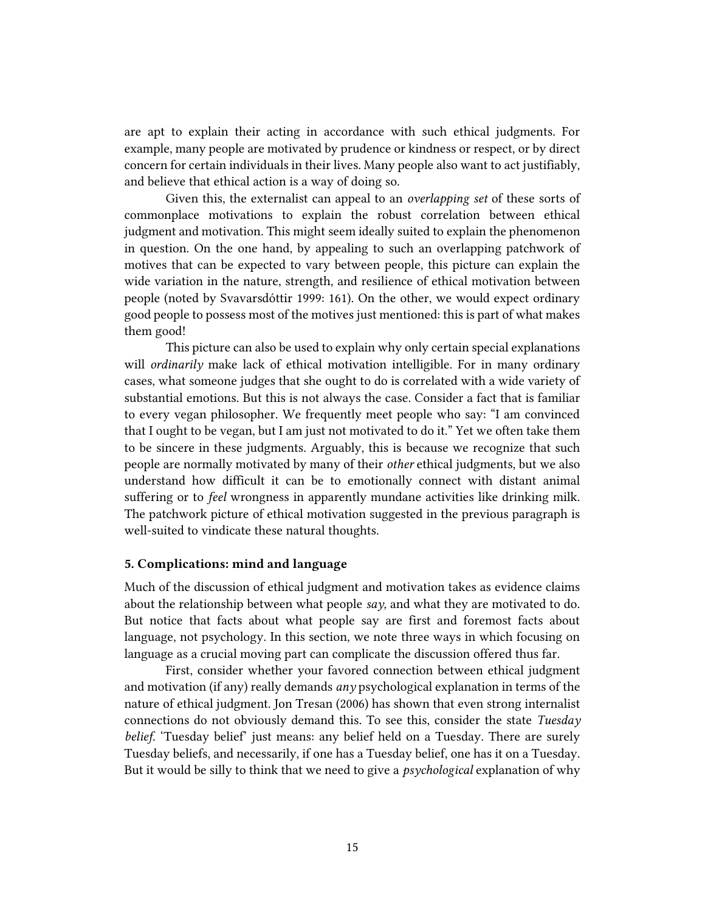are apt to explain their acting in accordance with such ethical judgments. For example, many people are motivated by prudence or kindness or respect, or by direct concern for certain individuals in their lives. Many people also want to act justifiably, and believe that ethical action is a way of doing so.

Given this, the externalist can appeal to an *overlapping set* of these sorts of commonplace motivations to explain the robust correlation between ethical judgment and motivation. This might seem ideally suited to explain the phenomenon in question. On the one hand, by appealing to such an overlapping patchwork of motives that can be expected to vary between people, this picture can explain the wide variation in the nature, strength, and resilience of ethical motivation between people (noted by Svavarsdóttir 1999: 161). On the other, we would expect ordinary good people to possess most of the motives just mentioned: this is part of what makes them good!

This picture can also be used to explain why only certain special explanations will *ordinarily* make lack of ethical motivation intelligible. For in many ordinary cases, what someone judges that she ought to do is correlated with a wide variety of substantial emotions. But this is not always the case. Consider a fact that is familiar to every vegan philosopher. We frequently meet people who say: "I am convinced that I ought to be vegan, but I am just not motivated to do it." Yet we often take them to be sincere in these judgments. Arguably, this is because we recognize that such people are normally motivated by many of their *other* ethical judgments, but we also understand how difficult it can be to emotionally connect with distant animal suffering or to *feel* wrongness in apparently mundane activities like drinking milk. The patchwork picture of ethical motivation suggested in the previous paragraph is well-suited to vindicate these natural thoughts.

### **5. Complications: mind and language**

Much of the discussion of ethical judgment and motivation takes as evidence claims about the relationship between what people *say,* and what they are motivated to do. But notice that facts about what people say are first and foremost facts about language, not psychology. In this section, we note three ways in which focusing on language as a crucial moving part can complicate the discussion offered thus far.

First, consider whether your favored connection between ethical judgment and motivation (if any) really demands *any* psychological explanation in terms of the nature of ethical judgment. Jon Tresan (2006) has shown that even strong internalist connections do not obviously demand this. To see this, consider the state *Tuesday belief.* 'Tuesday belief' just means: any belief held on a Tuesday. There are surely Tuesday beliefs, and necessarily, if one has a Tuesday belief, one has it on a Tuesday. But it would be silly to think that we need to give a *psychological* explanation of why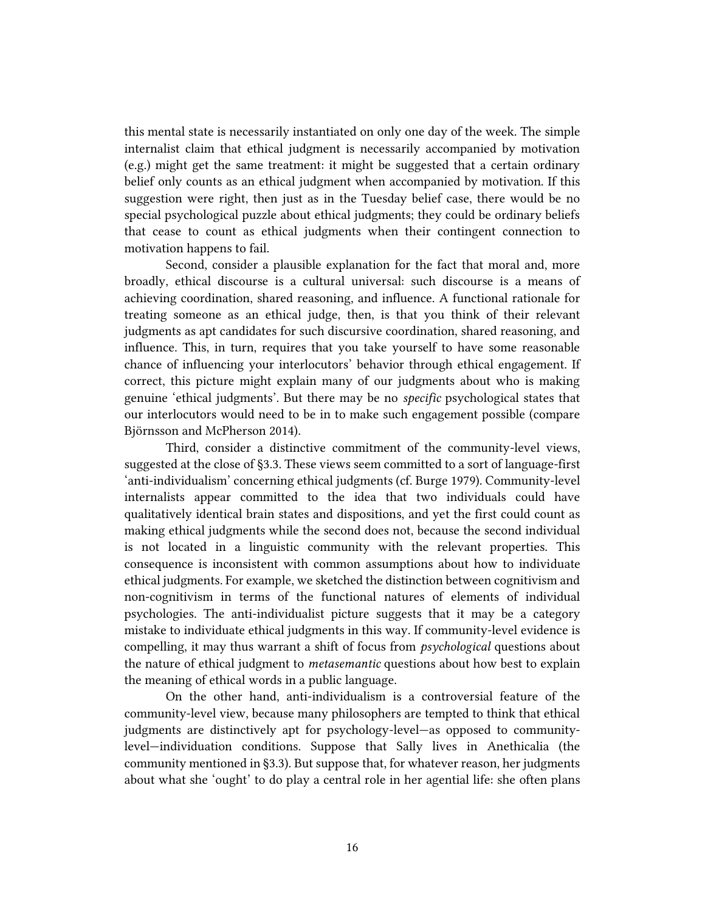this mental state is necessarily instantiated on only one day of the week. The simple internalist claim that ethical judgment is necessarily accompanied by motivation (e.g.) might get the same treatment: it might be suggested that a certain ordinary belief only counts as an ethical judgment when accompanied by motivation. If this suggestion were right, then just as in the Tuesday belief case, there would be no special psychological puzzle about ethical judgments; they could be ordinary beliefs that cease to count as ethical judgments when their contingent connection to motivation happens to fail.

Second, consider a plausible explanation for the fact that moral and, more broadly, ethical discourse is a cultural universal: such discourse is a means of achieving coordination, shared reasoning, and influence. A functional rationale for treating someone as an ethical judge, then, is that you think of their relevant judgments as apt candidates for such discursive coordination, shared reasoning, and influence. This, in turn, requires that you take yourself to have some reasonable chance of influencing your interlocutors' behavior through ethical engagement. If correct, this picture might explain many of our judgments about who is making genuine 'ethical judgments'. But there may be no *specific* psychological states that our interlocutors would need to be in to make such engagement possible (compare Björnsson and McPherson 2014).

Third, consider a distinctive commitment of the community-level views, suggested at the close of §3.3. These views seem committed to a sort of language-first 'anti-individualism' concerning ethical judgments (cf. Burge 1979). Community-level internalists appear committed to the idea that two individuals could have qualitatively identical brain states and dispositions, and yet the first could count as making ethical judgments while the second does not, because the second individual is not located in a linguistic community with the relevant properties. This consequence is inconsistent with common assumptions about how to individuate ethical judgments. For example, we sketched the distinction between cognitivism and non-cognitivism in terms of the functional natures of elements of individual psychologies. The anti-individualist picture suggests that it may be a category mistake to individuate ethical judgments in this way. If community-level evidence is compelling, it may thus warrant a shift of focus from *psychological* questions about the nature of ethical judgment to *metasemantic* questions about how best to explain the meaning of ethical words in a public language.

On the other hand, anti-individualism is a controversial feature of the community-level view, because many philosophers are tempted to think that ethical judgments are distinctively apt for psychology-level—as opposed to communitylevel—individuation conditions. Suppose that Sally lives in Anethicalia (the community mentioned in §3.3). But suppose that, for whatever reason, her judgments about what she 'ought' to do play a central role in her agential life: she often plans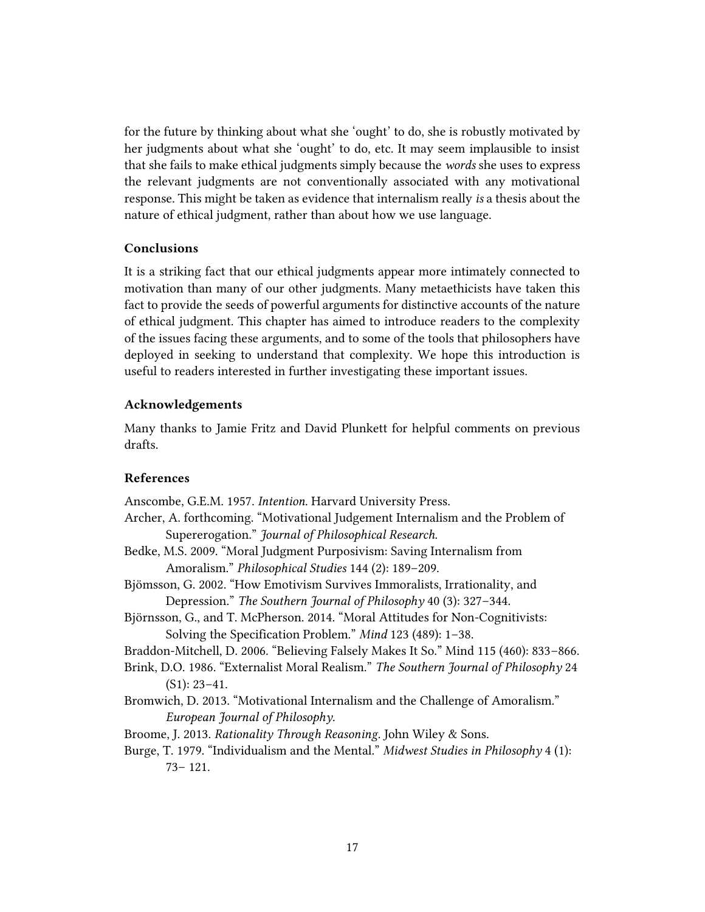for the future by thinking about what she 'ought' to do, she is robustly motivated by her judgments about what she 'ought' to do, etc. It may seem implausible to insist that she fails to make ethical judgments simply because the *words* she uses to express the relevant judgments are not conventionally associated with any motivational response. This might be taken as evidence that internalism really *is* a thesis about the nature of ethical judgment, rather than about how we use language.

### **Conclusions**

It is a striking fact that our ethical judgments appear more intimately connected to motivation than many of our other judgments. Many metaethicists have taken this fact to provide the seeds of powerful arguments for distinctive accounts of the nature of ethical judgment. This chapter has aimed to introduce readers to the complexity of the issues facing these arguments, and to some of the tools that philosophers have deployed in seeking to understand that complexity. We hope this introduction is useful to readers interested in further investigating these important issues.

### **Acknowledgements**

Many thanks to Jamie Fritz and David Plunkett for helpful comments on previous drafts.

#### **References**

Anscombe, G.E.M. 1957. *Intention.* Harvard University Press.

- Archer, A. forthcoming. "Motivational Judgement Internalism and the Problem of Supererogation." *Journal of Philosophical Research.*
- Bedke, M.S. 2009. "Moral Judgment Purposivism: Saving Internalism from Amoralism." *Philosophical Studies* 144 (2): 189–209.
- Bjömsson, G. 2002. "How Emotivism Survives Immoralists, Irrationality, and Depression." *The Southern Journal of Philosophy* 40 (3): 327–344.
- Björnsson, G., and T. McPherson. 2014. "Moral Attitudes for Non-Cognitivists: Solving the Specification Problem." *Mind* 123 (489): 1–38.
- Braddon-Mitchell, D. 2006. "Believing Falsely Makes It So." Mind 115 (460): 833–866.
- Brink, D.O. 1986. "Externalist Moral Realism." *The Southern Journal of Philosophy* 24 (S1): 23–41.
- Bromwich, D. 2013. "Motivational Internalism and the Challenge of Amoralism." *European Journal of Philosophy.*
- Broome, J. 2013. *Rationality Through Reasoning.* John Wiley & Sons.
- Burge, T. 1979. "Individualism and the Mental." *Midwest Studies in Philosophy* 4 (1): 73– 121.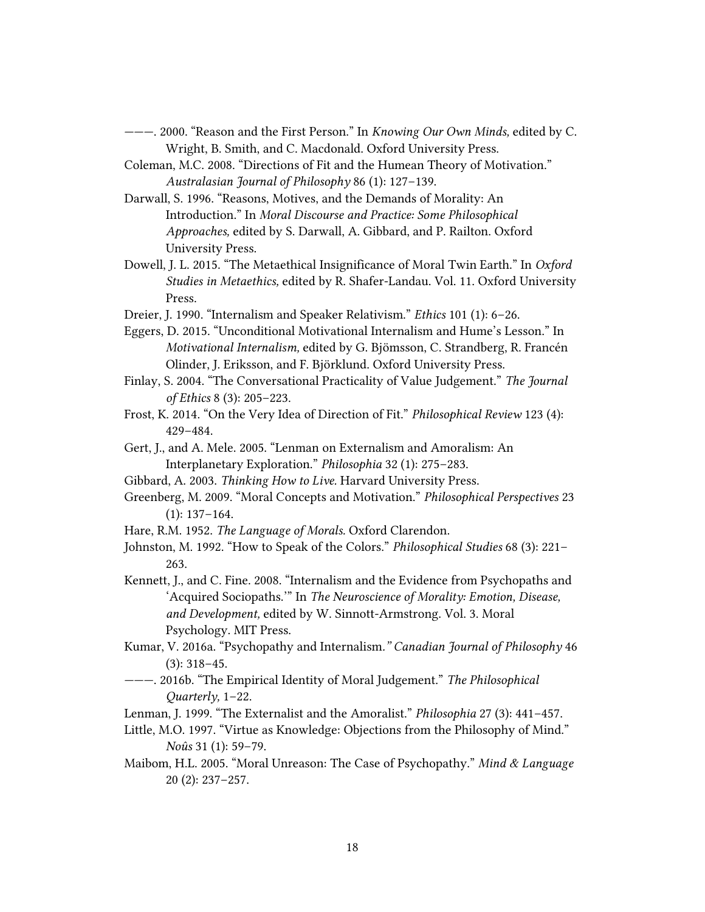———. 2000. "Reason and the First Person." In *Knowing Our Own Minds,* edited by C. Wright, B. Smith, and C. Macdonald. Oxford University Press.

Coleman, M.C. 2008. "Directions of Fit and the Humean Theory of Motivation." *Australasian Journal of Philosophy* 86 (1): 127–139.

Darwall, S. 1996. "Reasons, Motives, and the Demands of Morality: An Introduction." In *Moral Discourse and Practice: Some Philosophical Approaches,* edited by S. Darwall, A. Gibbard, and P. Railton. Oxford University Press.

Dowell, J. L. 2015. "The Metaethical Insignificance of Moral Twin Earth." In *Oxford Studies in Metaethics,* edited by R. Shafer-Landau. Vol. 11. Oxford University Press.

Dreier, J. 1990. "Internalism and Speaker Relativism." *Ethics* 101 (1): 6–26.

Eggers, D. 2015. "Unconditional Motivational Internalism and Hume's Lesson." In *Motivational Internalism,* edited by G. Bjömsson, C. Strandberg, R. Francén Olinder, J. Eriksson, and F. Björklund. Oxford University Press.

- Finlay, S. 2004. "The Conversational Practicality of Value Judgement." *The Journal of Ethics* 8 (3): 205–223.
- Frost, K. 2014. "On the Very Idea of Direction of Fit." *Philosophical Review* 123 (4): 429–484.
- Gert, J., and A. Mele. 2005. "Lenman on Externalism and Amoralism: An Interplanetary Exploration." *Philosophia* 32 (1): 275–283.
- Gibbard, A. 2003. *Thinking How to Live.* Harvard University Press.
- Greenberg, M. 2009. "Moral Concepts and Motivation." *Philosophical Perspectives* 23 (1): 137–164.
- Hare, R.M. 1952. *The Language of Morals.* Oxford Clarendon.

Kennett, J., and C. Fine. 2008. "Internalism and the Evidence from Psychopaths and 'Acquired Sociopaths.'" In *The Neuroscience of Morality: Emotion, Disease, and Development,* edited by W. Sinnott-Armstrong. Vol. 3. Moral Psychology. MIT Press.

- Kumar, V. 2016a. "Psychopathy and Internalism*." Canadian Journal of Philosophy* 46 (3): 318–45.
- ———. 2016b. "The Empirical Identity of Moral Judgement." *The Philosophical Quarterly,* 1–22.

Lenman, J. 1999. "The Externalist and the Amoralist." *Philosophia* 27 (3): 441–457.

- Little, M.O. 1997. "Virtue as Knowledge: Objections from the Philosophy of Mind." *Noûs* 31 (1): 59–79.
- Maibom, H.L. 2005. "Moral Unreason: The Case of Psychopathy." *Mind & Language* 20 (2): 237–257.

Johnston, M. 1992. "How to Speak of the Colors." *Philosophical Studies* 68 (3): 221– 263.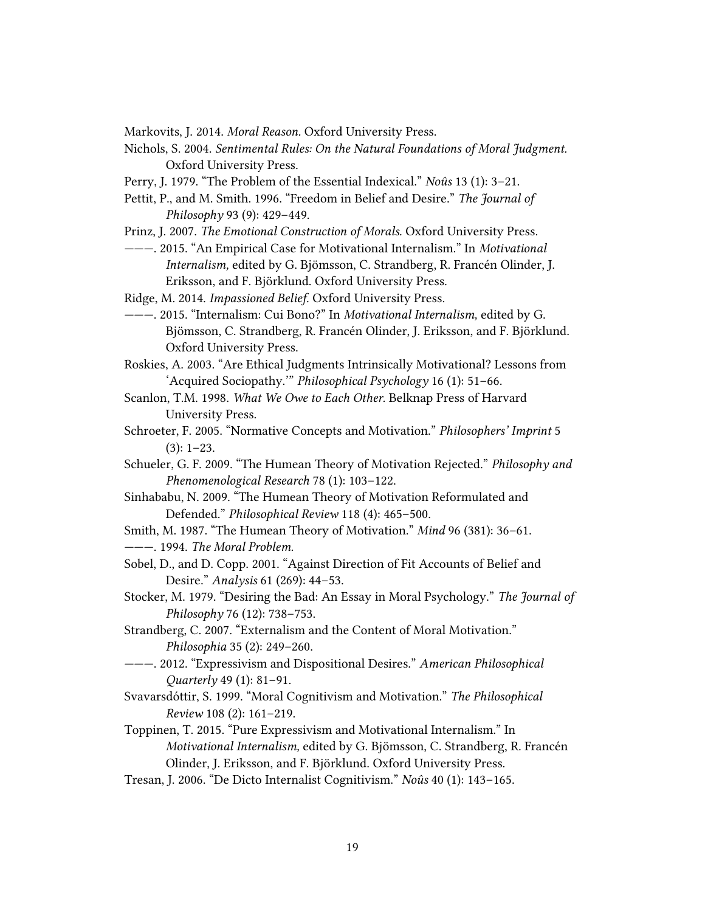- Markovits, J. 2014. *Moral Reason.* Oxford University Press.
- Nichols, S. 2004. *Sentimental Rules: On the Natural Foundations of Moral Judgment.* Oxford University Press.
- Perry, J. 1979. "The Problem of the Essential Indexical." *Noûs* 13 (1): 3–21.
- Pettit, P., and M. Smith. 1996. "Freedom in Belief and Desire." *The Journal of Philosophy* 93 (9): 429–449.
- Prinz, J. 2007. *The Emotional Construction of Morals.* Oxford University Press.
- ———. 2015. "An Empirical Case for Motivational Internalism." In *Motivational Internalism,* edited by G. Bjömsson, C. Strandberg, R. Francén Olinder, J. Eriksson, and F. Björklund. Oxford University Press.
- Ridge, M. 2014. *Impassioned Belief.* Oxford University Press.
- ———. 2015. "Internalism: Cui Bono?" In *Motivational Internalism,* edited by G. Bjömsson, C. Strandberg, R. Francén Olinder, J. Eriksson, and F. Björklund. Oxford University Press.
- Roskies, A. 2003. "Are Ethical Judgments Intrinsically Motivational? Lessons from 'Acquired Sociopathy.'" *Philosophical Psychology* 16 (1): 51–66.
- Scanlon, T.M. 1998. *What We Owe to Each Other.* Belknap Press of Harvard University Press.
- Schroeter, F. 2005. "Normative Concepts and Motivation." *Philosophers' Imprint* 5  $(3): 1-23.$
- Schueler, G. F. 2009. "The Humean Theory of Motivation Rejected." *Philosophy and Phenomenological Research* 78 (1): 103–122.
- Sinhababu, N. 2009. "The Humean Theory of Motivation Reformulated and Defended." *Philosophical Review* 118 (4): 465–500.
- Smith, M. 1987. "The Humean Theory of Motivation." *Mind* 96 (381): 36–61.
- ———. 1994. *The Moral Problem.*
- Sobel, D., and D. Copp. 2001. "Against Direction of Fit Accounts of Belief and Desire." *Analysis* 61 (269): 44–53.
- Stocker, M. 1979. "Desiring the Bad: An Essay in Moral Psychology." *The Journal of Philosophy* 76 (12): 738–753.
- Strandberg, C. 2007. "Externalism and the Content of Moral Motivation." *Philosophia* 35 (2): 249–260.
- ———. 2012. "Expressivism and Dispositional Desires." *American Philosophical Quarterly* 49 (1): 81–91.
- Svavarsdóttir, S. 1999. "Moral Cognitivism and Motivation." *The Philosophical Review* 108 (2): 161–219.
- Toppinen, T. 2015. "Pure Expressivism and Motivational Internalism." In *Motivational Internalism,* edited by G. Bjömsson, C. Strandberg, R. Francén Olinder, J. Eriksson, and F. Björklund. Oxford University Press.
- Tresan, J. 2006. "De Dicto Internalist Cognitivism." *Noûs* 40 (1): 143–165.